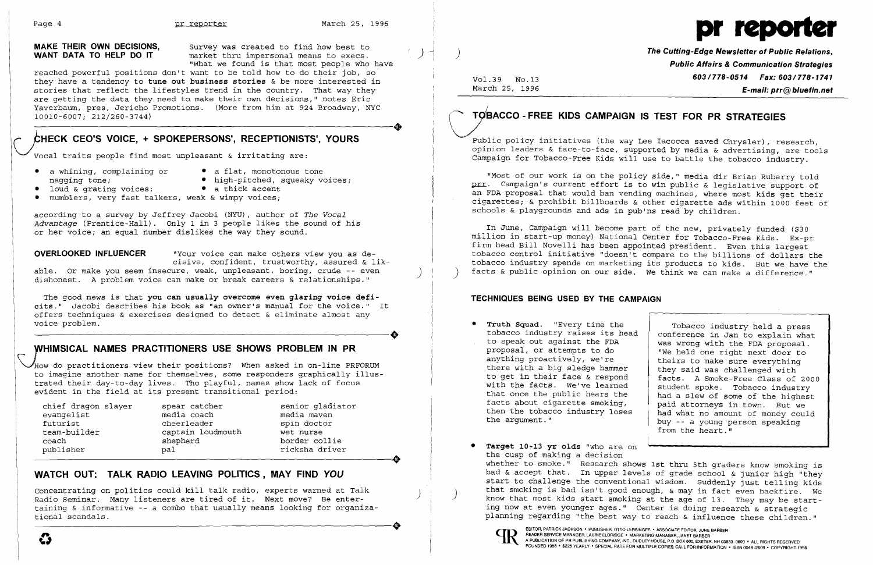**MAKE THEIR OWN DECISIONS,** Survey was created to find how best to **WANT DATA TO HELP DO IT** market thru impersonal means to execs.  $mark$ et thru impersonal means to execs. "What we found is that most people who have

reached powerful positions don't want to be told how to do their job, so they have a tendency to tune out business stories & be more interested in stories that reflect the lifestyles trend in the country. That way they are getting the data they need to make their own decisions," notes Eric The getting the data they heed to make their own decisions," hotes Effective Vaverbaum, pres, Jericho Promotions. (More from him at 924 Broadway, NYC 10010-6007; 212/260-3744) 10010-6007; 212/260-3744)

# CHECK CEO'S VOICE, + SPOKEPERSONS', RECEPTIONISTS', YOURS

Vocal traits people find most unpleasant & irritating are:

- a whining, complaining or a flat, monotonous tone<br>
naqqinq tone: high-pitched, squeaky vo
	-
	- high-pitched, squeaky voices;<br>• a thick accent
- loud & grating voices;
- 
- mumblers, very fast talkers, weak & wimpy voices;

The good news is that you can usually overcome even glaring voice deficits." Jacobi describes his book as "an owner's manual for the voice." It offers techniques & exercises designed to detect & eliminate almost any voice problem. voice problem.

# WHIMSICAL NAMES PRACTITIONERS USE SHOWS PROBLEM IN PR

Whow do practitioners view their positions? When asked in on-line PRFORUM to imagine another name for themselves, some responders graphically illus trated their day-to-day lives. Tho playful, names show lack of focus evident in the field at its present transitional period:

chief dragon slayer spear catcher senior gladiator<br>evangelist senior media coach senior media maven evangelist media coach media maven<br>
futurist cheerleader spin doctor futurist cheerleader spin doctor<br>team-builder captain loudmouth wet nurse coach shepherd border collie<br>
publisher border collie<br>
pal border collie team-builder captain loudmouth wet nurse<br>coach shepherd border collie<br>publisher pal rickshadriver

 $\bm{G}$ 

captain loudmouth

ricksha driver

according to a survey by Jeffrey Jacobi (NYU), author of *The Vocal Advantage* (Prentice-Hall). Only 1 in 3 people likes the sound of his or her voice; an equal number dislikes the way they sound.

**OVERLOOKED INFLUENCER** "Your voice can make others view you as decisive, confident, trustworthy, assured & lik-

able. Or make you seem insecure, weak, unpleasant, boring, crude -- even dishonest. A problem voice can make or break careers & relationships."

**The Cutting-Edge Newsletter of Public Relations, Public Affairs & Communication Strategies**  Vol. 39 No.13 **603/778-0514 Fax: 603/778-1741**

# March 25, 1996 **E-mail: prr@bluefin.net**<br> **C7MBACCO - FREE KIDS CAMPAIGN IS TEST FOR PR STRATEGIES** ACCO - FREE KIDS CAMPAIGN IS TEST FOR PR STRATEGIES

In June, Campaign will become part of the new, privately funded (\$30 million in start-up money) National Center for Tobacco-Free Kids. Ex-pr firm head Bill Novelli has been appointed president. Even this largest tobacco control initiative "doesn't compare to the billions of dollars the tobacco industry spends on marketing its products to kids. But we have the facts & public opinion on our side. We think we can make a difference."

# **WATCH OUT: TALK RADIO LEAVING POLITICS, MAY FIND** *YOU*

to get in their face & respond | facts. A Smoke-Free Class of 2000<br>with the facts. We've learned | student spoke. Tobacco industry that once the public hears the had a slew of some of the highest<br>facts about cigarette smoking, paid attorneys in town. But we<br>then the tobacco industry loses then the tobacco industry loses  $\begin{array}{|l|l|}\n\hline\n\end{array}$  had what no amount of money could the argument." buy -- a young person speaking from the heart."

- Truth Squad. "Every time the Tobacco industry held a press tobacco industry raises its head conference in Jan to explain what to speak out against the FDA proposal, or attempts to do with the FDA proposal, or attempts to do "We held one right next door to anything proactively, we're there with a big sledge hammer they said was challenged with to get in their face  $\&$  respond facts. A smoke-Free Class of
- • Target 10-13 yr oids "who are on the cusp of making a decision whether to smoke." Research shows 1st thru 5th graders know smoking is



Concentrating on politics could kill talk radio, experts warned at Talk Radio Seminar. Many listeners are tired of it. Next move? Be enter-Radio Seminar. Many listeners are tired of it. Next move? Be enter-<br>taining & informative -- a combo that usually means looking for organiza-<br>tional scandals. tional scandals.



I

I

)

Public policy initiatives (the way Lee Iacocca saved Chrysler), research, opinion leaders & face-to-face, supported by media & advertising, are tools Campaign for Tobacco-Free Kids will use to battle the tobacco industry.

"Most of our work is on the policy side," media dir Brian Ruberry told prr. Campaign's current effort is to win public & legislative support of an FDA proposal that would ban vending machines, where most kids get their cigarettes; & prohibit billboards & other cigarette ads within 1000 feet of schools & playgrounds and ads in pub'ns read by children.

## **TECHNIQUES BEING USED BY THE CAMPAIGN**

bad & accept that. In upper levels of grade school & junior high "they start to challenge the conventional wisdom. Suddenly just telling kids<br>that smoking is bad isn't good enough, & may in fact even backfire. We know that most kids start smoking at the age of 13. They may be starting now at even younger ages." Center is doing research & strategic planning regarding "the best way to reach & influence these children."